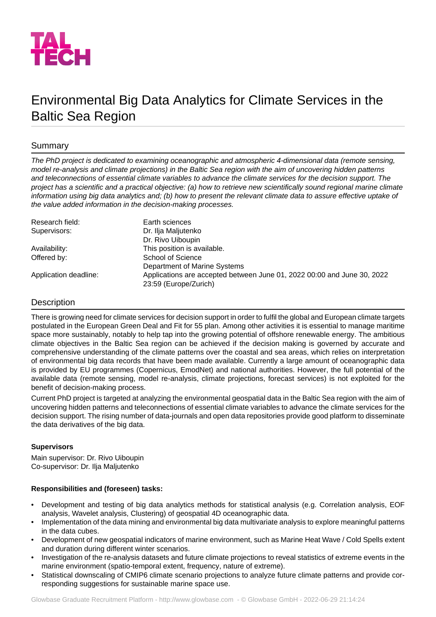

# Environmental Big Data Analytics for Climate Services in the Baltic Sea Region

## Summary

*The PhD project is dedicated to examining oceanographic and atmospheric 4-dimensional data (remote sensing, model re-analysis and climate projections) in the Baltic Sea region with the aim of uncovering hidden patterns and teleconnections of essential climate variables to advance the climate services for the decision support. The project has a scientific and a practical objective: (a) how to retrieve new scientifically sound regional marine climate information using big data analytics and; (b) how to present the relevant climate data to assure effective uptake of the value added information in the decision-making processes.*

| Research field:       | Earth sciences                                                                                   |
|-----------------------|--------------------------------------------------------------------------------------------------|
| Supervisors:          | Dr. Ilja Maljutenko                                                                              |
|                       | Dr. Rivo Uiboupin                                                                                |
| Availability:         | This position is available.                                                                      |
| Offered by:           | School of Science                                                                                |
|                       | Department of Marine Systems                                                                     |
| Application deadline: | Applications are accepted between June 01, 2022 00:00 and June 30, 2022<br>23:59 (Europe/Zurich) |

## **Description**

There is growing need for climate services for decision support in order to fulfil the global and European climate targets postulated in the European Green Deal and Fit for 55 plan. Among other activities it is essential to manage maritime space more sustainably, notably to help tap into the growing potential of offshore renewable energy. The ambitious climate objectives in the Baltic Sea region can be achieved if the decision making is governed by accurate and comprehensive understanding of the climate patterns over the coastal and sea areas, which relies on interpretation of environmental big data records that have been made available. Currently a large amount of oceanographic data is provided by EU programmes (Copernicus, EmodNet) and national authorities. However, the full potential of the available data (remote sensing, model re-analysis, climate projections, forecast services) is not exploited for the benefit of decision-making process.

Current PhD project is targeted at analyzing the environmental geospatial data in the Baltic Sea region with the aim of uncovering hidden patterns and teleconnections of essential climate variables to advance the climate services for the decision support. The rising number of data-journals and open data repositories provide good platform to disseminate the data derivatives of the big data.

## **Supervisors**

Main supervisor: Dr. Rivo Uiboupin Co-supervisor: Dr. Ilja Maljutenko

## **Responsibilities and (foreseen) tasks:**

- Development and testing of big data analytics methods for statistical analysis (e.g. Correlation analysis, EOF analysis, Wavelet analysis, Clustering) of geospatial 4D oceanographic data.
- Implementation of the data mining and environmental big data multivariate analysis to explore meaningful patterns in the data cubes.
- Development of new geospatial indicators of marine environment, such as Marine Heat Wave / Cold Spells extent and duration during different winter scenarios.
- Investigation of the re-analysis datasets and future climate projections to reveal statistics of extreme events in the marine environment (spatio-temporal extent, frequency, nature of extreme).
- Statistical downscaling of CMIP6 climate scenario projections to analyze future climate patterns and provide corresponding suggestions for sustainable marine space use.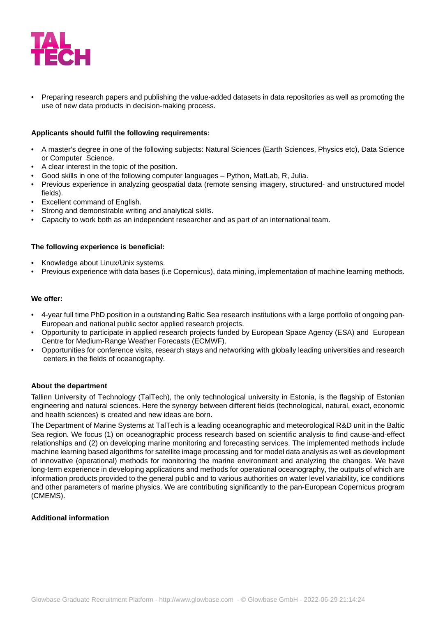

• Preparing research papers and publishing the value-added datasets in data repositories as well as promoting the use of new data products in decision-making process.

#### **Applicants should fulfil the following requirements:**

- A master's degree in one of the following subjects: Natural Sciences (Earth Sciences, Physics etc), Data Science or Computer Science.
- A clear interest in the topic of the position.
- Good skills in one of the following computer languages Python, MatLab, R, Julia.
- Previous experience in analyzing geospatial data (remote sensing imagery, structured- and unstructured model fields).
- **Excellent command of English.**
- Strong and demonstrable writing and analytical skills.
- Capacity to work both as an independent researcher and as part of an international team.

#### **The following experience is beneficial:**

- Knowledge about Linux/Unix systems.
- Previous experience with data bases (i.e Copernicus), data mining, implementation of machine learning methods.

#### **We offer:**

- 4-year full time PhD position in a outstanding Baltic Sea research institutions with a large portfolio of ongoing pan-European and national public sector applied research projects.
- Opportunity to participate in applied research projects funded by European Space Agency (ESA) and European Centre for Medium-Range Weather Forecasts (ECMWF).
- Opportunities for conference visits, research stays and networking with globally leading universities and research centers in the fields of oceanography.

#### **About the department**

Tallinn University of Technology (TalTech), the only technological university in Estonia, is the flagship of Estonian engineering and natural sciences. Here the synergy between different fields (technological, natural, exact, economic and health sciences) is created and new ideas are born.

The Department of Marine Systems at TalTech is a leading oceanographic and meteorological R&D unit in the Baltic Sea region. We focus (1) on oceanographic process research based on scientific analysis to find cause-and-effect relationships and (2) on developing marine monitoring and forecasting services. The implemented methods include machine learning based algorithms for satellite image processing and for model data analysis as well as development of innovative (operational) methods for monitoring the marine environment and analyzing the changes. We have long-term experience in developing applications and methods for operational oceanography, the outputs of which are information products provided to the general public and to various authorities on water level variability, ice conditions and other parameters of marine physics. We are contributing significantly to the pan-European Copernicus program (CMEMS).

#### **Additional information**